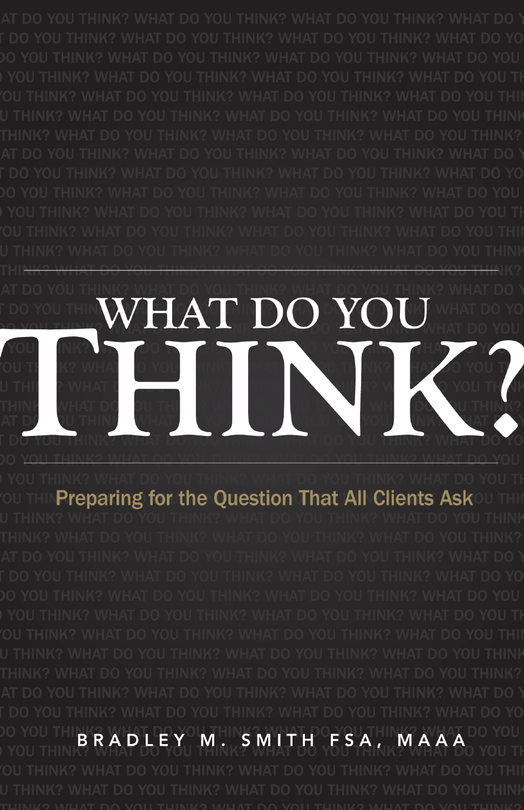## WHAT DO YOU HONK

**Preparing for the Question That All Clients Ask** 

SMITH FSA, BRADLEY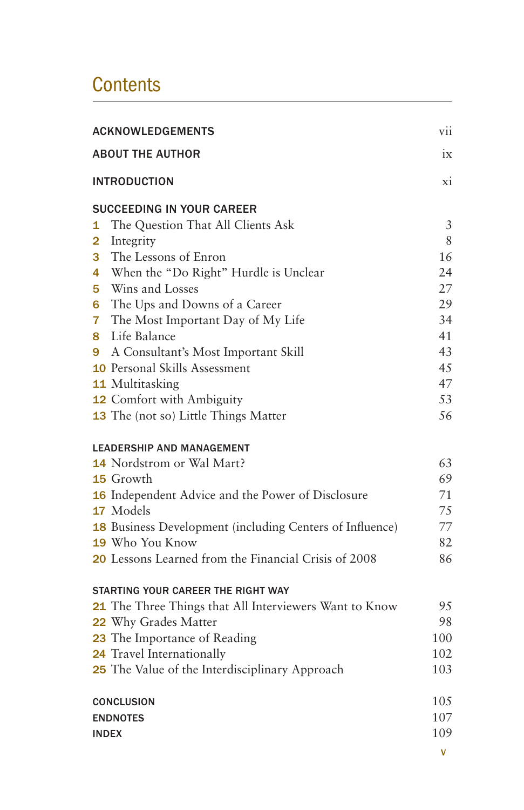## **Contents**

| <b>ACKNOWLEDGEMENTS</b>                                  | vii |
|----------------------------------------------------------|-----|
| <b>ABOUT THE AUTHOR</b>                                  | ix  |
| <b>INTRODUCTION</b>                                      | xi  |
| <b>SUCCEEDING IN YOUR CAREER</b>                         |     |
| The Question That All Clients Ask<br>1                   | 3   |
| $\overline{\mathbf{2}}$<br>Integrity                     | 8   |
| The Lessons of Enron<br>3.                               | 16  |
| When the "Do Right" Hurdle is Unclear<br>4               | 24  |
| Wins and Losses<br>5.                                    | 27  |
| The Ups and Downs of a Career<br>6                       | 29  |
| 7<br>The Most Important Day of My Life                   | 34  |
| Life Balance<br>8.                                       | 41  |
| 9<br>A Consultant's Most Important Skill                 | 43  |
| <b>10</b> Personal Skills Assessment                     | 45  |
| 11 Multitasking                                          | 47  |
| <b>12</b> Comfort with Ambiguity                         | 53  |
| 13 The (not so) Little Things Matter                     | 56  |
| <b>LEADERSHIP AND MANAGEMENT</b>                         |     |
| 14 Nordstrom or Wal Mart?                                | 63  |
| <b>15</b> Growth                                         | 69  |
| 16 Independent Advice and the Power of Disclosure        | 71  |
| 17 Models                                                | 75  |
| 18 Business Development (including Centers of Influence) | 77  |
| <b>19</b> Who You Know                                   | 82  |
| 20 Lessons Learned from the Financial Crisis of 2008     | 86  |
| STARTING YOUR CAREER THE RIGHT WAY                       |     |
| 21 The Three Things that All Interviewers Want to Know   | 95  |
| 22 Why Grades Matter                                     | 98  |
| 23 The Importance of Reading                             | 100 |
| 24 Travel Internationally                                | 102 |
| 25 The Value of the Interdisciplinary Approach           | 103 |
| CONCLUSION                                               | 105 |
| <b>ENDNOTES</b>                                          | 107 |
| <b>INDEX</b>                                             | 109 |
|                                                          | V   |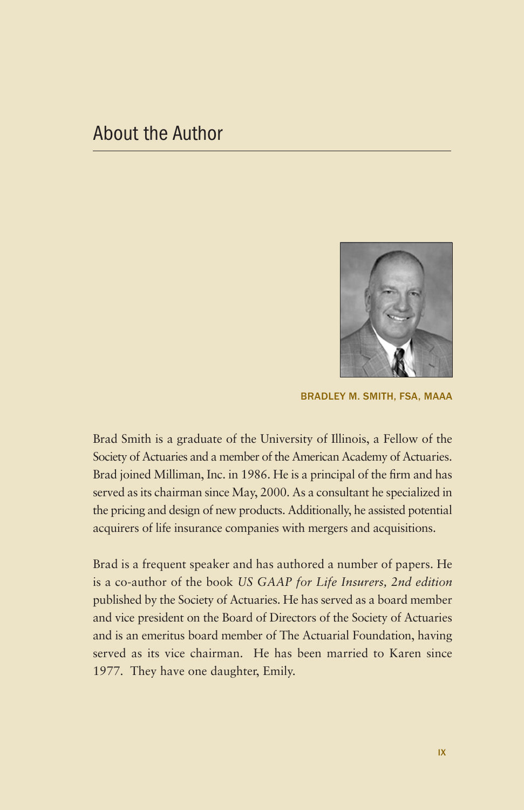## About the Author



BRADLEY M. SMITH, FSA, MAAA

Brad Smith is a graduate of the University of Illinois, a Fellow of the Society of Actuaries and a member of the American Academy of Actuaries. Brad joined Milliman, Inc. in 1986. He is a principal of the firm and has served as its chairman since May, 2000. As a consultant he specialized in the pricing and design of new products. Additionally, he assisted potential acquirers of life insurance companies with mergers and acquisitions.

Brad is a frequent speaker and has authored a number of papers. He is a co-author of the book *US GAAP for Life Insurers, 2nd edition* published by the Society of Actuaries. He has served as a board member and vice president on the Board of Directors of the Society of Actuaries and is an emeritus board member of The Actuarial Foundation, having served as its vice chairman. He has been married to Karen since 1977. They have one daughter, Emily.